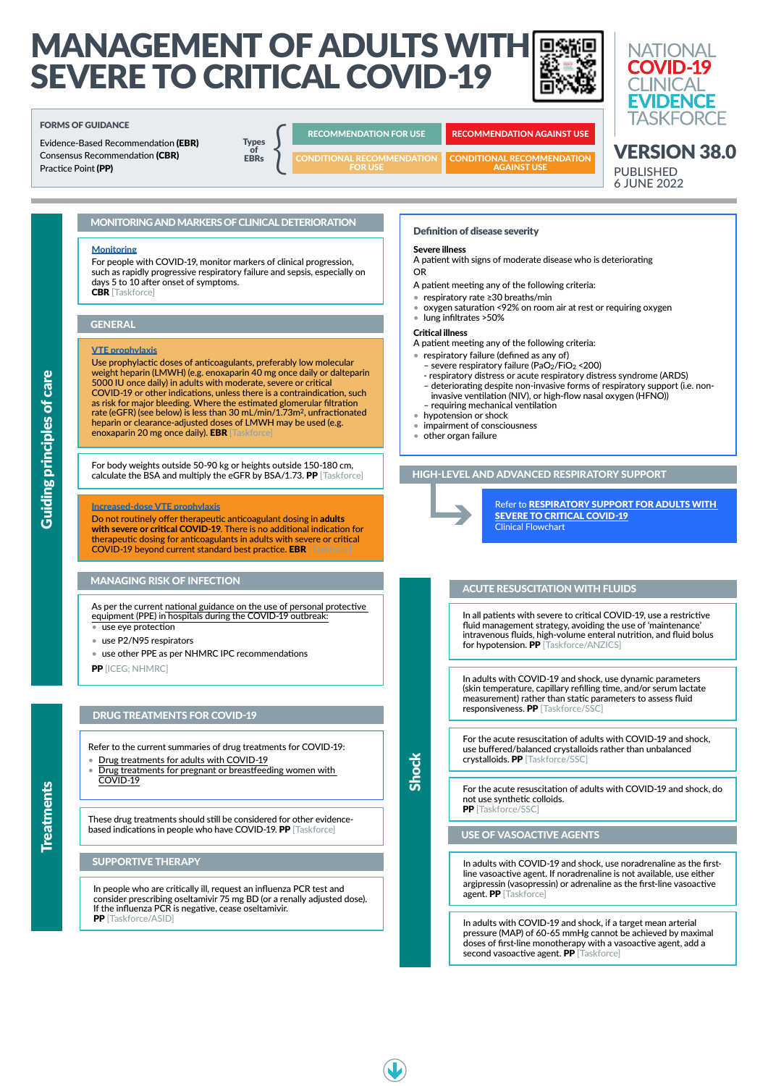# MANAGEMENT OF ADULTS WITH SEVERE TO CRITICAL COVID-19



### Definition of disease severity

### Severe illness

- A patient with signs of moderate disease who is deteriorating
- OR
- A patient meeting any of the following criteria:
- respiratory rate ≥30 breaths/min
- oxygen saturation <92% on room air at rest or requiring oxygen
- lung infiltrates >50%

#### Critical illness

A patient meeting any of the following criteria:

- respiratory failure (defined as any of)
	- severe respiratory failure (PaO2/FiO2 <200)
	- respiratory distress or acute respiratory distress syndrome (ARDS)
	- deteriorating despite non-invasive forms of respiratory support (i.e. non-
	- invasive ventilation (NIV), or high-flow nasal oxygen (HFNO)) – requiring mechanical ventilation
- hypotension or shock
- impairment of consciousness
- other organ failure

VERSION 38.0

**NATIONAL COVID-19 CINICAL** 

**EVIDENCE TASKFORCE** 

PUBLISHED 6 JUNE 2022

Guiding principles of care

**Guiding principles of care** 

### GENERAL

## MANAGING RISK OF INFECTION

As per the current [national guidance on the use of personal protective](https://www.health.gov.au/resources/publications/guidance-on-the-use-of-personal-protective-equipment-ppe-in-hospitals-during-the-covid-19-outbreak)  [equipment \(PPE\) in hospitals during the COVID-19 outbreak:](https://www.health.gov.au/resources/publications/guidance-on-the-use-of-personal-protective-equipment-ppe-in-hospitals-during-the-covid-19-outbreak)

ments

- use eye protection
- use P2/N95 respirators
- use other PPE as per NHMRC IPC recommendations

PP [ICEG; NHMRC]

In people who are critically ill, request an influenza PCR test and consider prescribing oseltamivir 75 mg BD (or a renally adjusted dose). If the influenza PCR is negative, cease oseltamivir. PP [Taskforce/ASID]

#### [VTE prophylaxis](https://app.magicapp.org/#/guideline/L4Q5An/rec/j7AqD4)

In all patients with severe to critical COVID-19, use a restrictive fluid management strategy, avoiding the use of 'maintenance' intravenous fluids, high-volume enteral nutrition, and fluid bolus for hypotension. PP [Taskforce/ANZICS]

Use prophylactic doses of anticoagulants, preferably low molecular weight heparin (LMWH) (e.g. enoxaparin 40 mg once daily or dalteparin 5000 IU once daily) in adults with moderate, severe or critical COVID-19 or other indications, unless there is a contraindication, such as risk for major bleeding. Where the estimated glomerular filtration rate (eGFR) (see below) is less than 30 mL/min/1.73m<sup>2</sup>, unfractionated heparin or clearance-adjusted doses of LMWH may be used (e.g. enoxaparin 20 mg once daily). EBR [Taskforce]

> For the acute resuscitation of adults with COVID-19 and shock, do not use synthetic colloids. **PP** [Taskforce/SSC]

In adults with COVID-19 and shock, if a target mean arterial pressure (MAP) of 60-65 mmHg cannot be achieved by maximal doses of first-line monotherapy with a vasoactive agent, add a second vasoactive agent. PP [Taskforce]



# HIGH-LEVEL AND ADVANCED RESPIRATORY SUPPORT



Refer to [RESPIRATORY SUPPORT FOR ADULTS WITH](https://covid19evidence.net.au/wp-content/uploads/FLOWCHART-RESPIRATORY-SUPPORT.pdf)  [SEVERE TO CRITICAL COVID-19](https://covid19evidence.net.au/wp-content/uploads/FLOWCHART-RESPIRATORY-SUPPORT.pdf) Clinical Flowchart

# DRUG TREATMENTS FOR COVID-19

#### [Increased-dose VTE prophylaxis](https://app.magicapp.org/#/guideline/L4Q5An/section/j29ONE)

Do not routinely offer therapeutic anticoagulant dosing in adults with severe or critical COVID-19. There is no additional indication for therapeutic dosing for anticoagulants in adults with severe or critical COVID-19 beyond current standard best practice. EBR [Taskforce]

> In adults with COVID-19 and shock, use dynamic parameters (skin temperature, capillary refilling time, and/or serum lactate measurement) rather than static parameters to assess fluid responsiveness. PP [Taskforce/SSC]

## SUPPORTIVE THERAPY

These drug treatments should still be considered for other evidencebased indications in people who have COVID-19. PP [Taskforce]

### ACUTE RESUSCITATION WITH FLUIDS

For the acute resuscitation of adults with COVID-19 and shock, use buffered/balanced crystalloids rather than unbalanced crystalloids. PP [Taskforce/SSC]

#### USE OF VASOACTIVE AGENTS

In adults with COVID-19 and shock, use noradrenaline as the firstline vasoactive agent. If noradrenaline is not available, use either argipressin (vasopressin) or adrenaline as the first-line vasoactive agent. PP [Taskforce]

Refer to the current summaries of drug treatments for COVID-19:

- [Drug treatments for adults with COVID-19](https://covid19evidence.net.au/wp-content/uploads/FLOWCHART-DT-FOR-ADULTS.pdf)
- [Drug treatments for pregnant or breastfeeding women with](https://covid19evidence.net.au/wp-content/uploads/FLOWCHART-DT-FOR-PREGNANCY.pdf)  [COVID-19](https://covid19evidence.net.au/wp-content/uploads/FLOWCHART-DT-FOR-PREGNANCY.pdf)

#### FORMS OF GUIDANCE

Evidence-Based Recommendation (EBR) Consensus Recommendation (CBR) Practice Point (PP)

**Types EBRs**  $\begin{array}{c}\n\text{Types} \\
\text{of} \\
\text{EBRs}\n\end{array}$ 

### RECOMMENDATION FOR USE RECOMMENDATION AGAINST USE

CONDITIONAL RECOMMENDATION AGAINST USE

CONDITIONAL RECOMMENDATION FOR USE

For body weights outside 50-90 kg or heights outside 150-180 cm, calculate the BSA and multiply the eGFR by BSA/1.73. PP [Taskforce]

## MONITORING AND MARKERS OF CLINICAL DETERIORATION

#### **[Monitoring](https://is.gd/FYb6IJ)**

For people with COVID-19, monitor markers of clinical progression, such as rapidly progressive respiratory failure and sepsis, especially on days 5 to 10 after onset of symptoms. CBR [Taskforce]